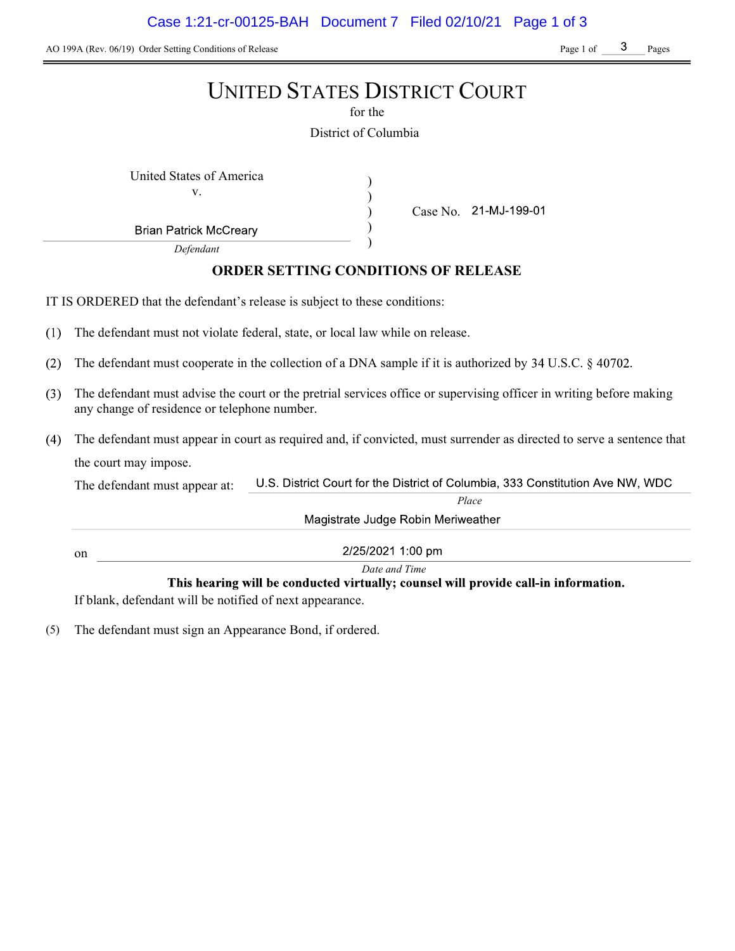AO 199A (Rev. 06/19) Order Setting Conditions of Release Page 1 of Page 1 of Page 1 of Pages

|     | <b>UNITED STATES DISTRICT COURT</b><br>for the                                                                                                                      |
|-----|---------------------------------------------------------------------------------------------------------------------------------------------------------------------|
|     | District of Columbia                                                                                                                                                |
|     | United States of America<br>v.<br>Case No. 21-MJ-199-01<br><b>Brian Patrick McCreary</b><br>Defendant<br><b>ORDER SETTING CONDITIONS OF RELEASE</b>                 |
|     |                                                                                                                                                                     |
|     | IT IS ORDERED that the defendant's release is subject to these conditions:                                                                                          |
| (1) | The defendant must not violate federal, state, or local law while on release.                                                                                       |
| (2) | The defendant must cooperate in the collection of a DNA sample if it is authorized by $34$ U.S.C. $\S$ 40702.                                                       |
| (3) | The defendant must advise the court or the pretrial services office or supervising officer in writing before making<br>any change of residence or telephone number. |
| (4) | The defendant must appear in court as required and, if convicted, must surrender as directed to serve a sentence that                                               |
|     | the court may impose.                                                                                                                                               |
|     | U.S. District Court for the District of Columbia, 333 Constitution Ave NW, WDC<br>The defendant must appear at:                                                     |
|     | Place                                                                                                                                                               |
|     | Magistrate Judge Robin Meriweather                                                                                                                                  |
|     | 2/25/2021 1:00 pm<br>on                                                                                                                                             |
|     | Date and Time                                                                                                                                                       |
|     | This hearing will be conducted virtually; counsel will provide call-in information.<br>If blank, defendant will be notified of next appearance.                     |

(5) The defendant must sign an Appearance Bond, if ordered.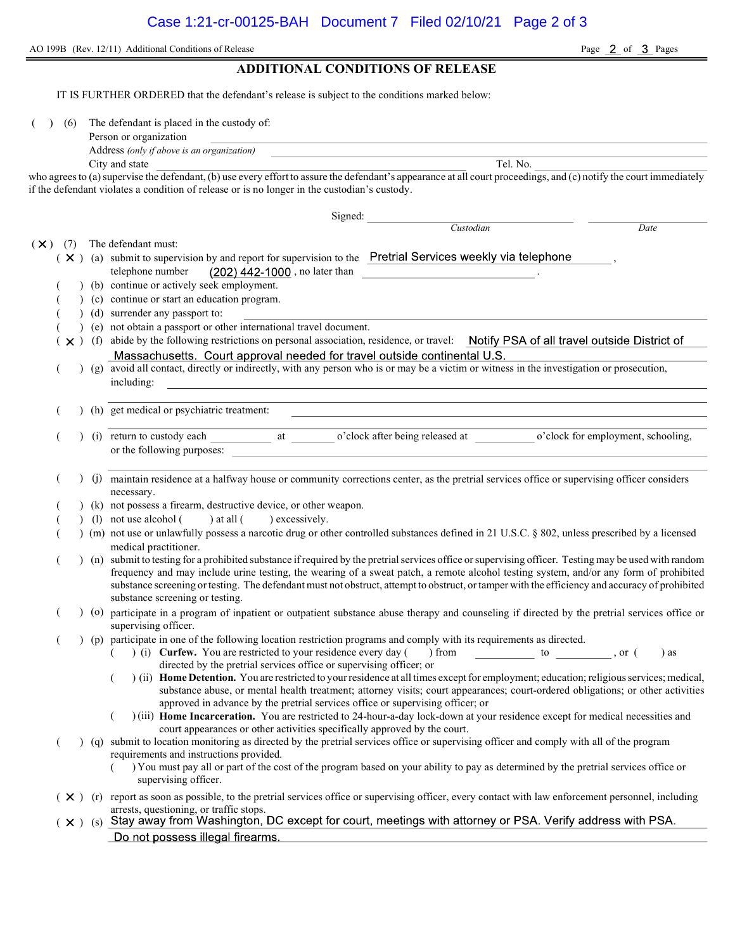AO 199B (Rev. 12/11) Additional Conditions of Release Page 2 of 3 Pages ADDITIONAL CONDITIONS OF RELEASE

IT IS FURTHER ORDERED that the defendant's release is subject to the conditions marked below: (6) The defendant is placed in the custody of: Person or organization Address (only if above is an organization) City and state Tel. No. who agrees to (a) supervise the defendant, (b) use every effort to assure the defendant's appearance at all court proceedings, and (c) notify the court immediately if the defendant violates a condition of release or is no longer in the custodian's custody. Signed: Custodian Date  $(\times)$  (7) The defendant must:  $(X)$  (a) submit to supervision by and report for supervision to the Pretrial Services weekly via telephone telephone number  $(202)$  442-1000, no later than (b) continue or actively seek employment. ( ) (c) continue or start an education program. ( ) (d) surrender any passport to: ( ) (e) not obtain a passport or other international travel document.  $(x)$  (f) abide by the following restrictions on personal association, residence, or travel: Notify PSA of all travel outside District of (g) avoid all contact, directly or indirectly, with any person who is or may be a victim or witness in the investigation or prosecution, including: ( ) (h) get medical or psychiatric treatment: (i) return to custody each at o'clock after being released at o'clock for employment, schooling, or the following purposes: ( ) (j) maintain residence at a halfway house or community corrections center, as the pretrial services office or supervising officer considers necessary. (k) not possess a firearm, destructive device, or other weapon. (1) not use alcohol () at all () excessively. ( ) (m) not use or unlawfully possess a narcotic drug or other controlled substances defined in 21 U.S.C. § 802, unless prescribed by a licensed medical practitioner. ( ) (n) submit to testing for a prohibited substance if required by the pretrial services office or supervising officer. Testing may be used with random frequency and may include urine testing, the wearing of a sweat patch, a remote alcohol testing system, and/or any form of prohibited substance screening or testing. The defendant must not obstruct, attempt to obstruct, or tamper with the efficiency and accuracy of prohibited substance screening or testing. ( ) (o) participate in a program of inpatient or outpatient substance abuse therapy and counseling if directed by the pretrial services office or supervising officer. ( ) (p) participate in one of the following location restriction programs and comply with its requirements as directed. ( ) (i) Curfew. You are restricted to your residence every day ( ) from  $\qquad \qquad$  to , or ( ) as directed by the pretrial services office or supervising officer; or  $($ ) (ii) Home Detention. You are restricted to your residence at all times except for employment; education; religious services; medical, substance abuse, or mental health treatment; attorney visits; court appearances; court-ordered obligations; or other activities approved in advance by the pretrial services office or supervising officer; or ( ) (iii) Home Incarceration. You are restricted to 24-hour-a-day lock-down at your residence except for medical necessities and court appearances or other activities specifically approved by the court. ( ) (q) submit to location monitoring as directed by the pretrial services office or supervising officer and comply with all of the program requirements and instructions provided. ( ) You must pay all or part of the cost of the program based on your ability to pay as determined by the pretrial services office or supervising officer.  $(X)$  (r) report as soon as possible, to the pretrial services office or supervising officer, every contact with law enforcement personnel, including arrests, questioning, or traffic stops.  $(x)$  (s) Stay away from Washington, DC except for court, meetings with attorney or PSA. Verify address with PSA. Do not possess illegal firearms.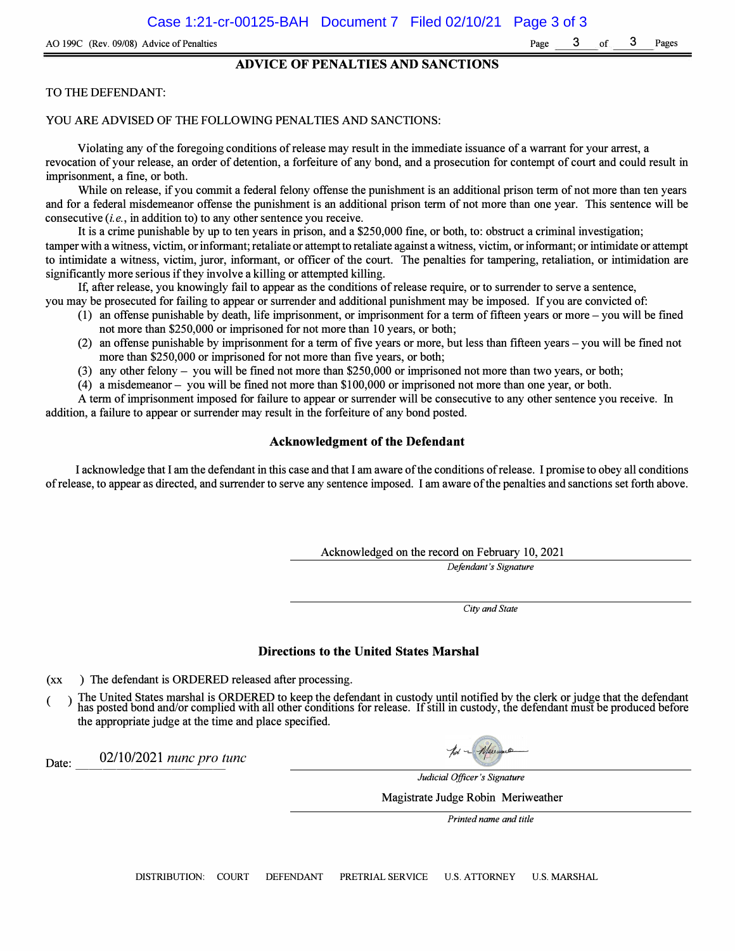### **ADVICE OF PENALTIES AND SANCTIONS**

#### TO THE DEFENDANT:

#### YOU ARE ADVISED OF THE FOLLOWING PENALTIES AND SANCTIONS:

Violating any of the foregoing conditions of release may result in the immediate issuance of a warrant for your arrest, a revocation of your release, an order of detention, a forfeiture of any bond, and a prosecution for contempt of court and could result in imprisonment, a fine, or both.

While on release, if you commit a federal felony offense the punishment is an additional prison term of not more than ten years and for a federal misdemeanor offense the punishment is an additional prison term of not more than one year. This sentence will be consecutive *(i.e.,* in addition to) to any other sentence you receive.

It is a crime punishable by up to ten years in prison, and a \$250,000 fine, or both, to: obstruct a criminal investigation; tamper with a witness, victim, or informant; retaliate or attempt to retaliate against a witness, victim, or informant; or intimidate or attempt to intimidate a witness, victim, juror, informant, or officer of the court. The penalties for tampering, retaliation, or intimidation are significantly more serious if they involve a killing or attempted killing.

If, after release, you knowingly fail to appear as the conditions of release require, or to surrender to serve a sentence, you may be prosecuted for failing to appear or surrender and additional punishment may be imposed. If you are convicted of:

- ( 1) an offense punishable by death, life imprisonment, or imprisonment for a term of fifteen years or more you will be fined not more than \$250,000 or imprisoned for not more than 10 years, or both;
- (2) an offense punishable by imprisonment for a term of five years or more, but less than fifteen years you will be fined not more than \$250,000 or imprisoned for not more than five years, or both;
- (3) any other felony you will be fined not more than \$250,000 or imprisoned not more than two years, or both;
- ( 4) a misdemeanor you will be fined not more than \$100,000 or imprisoned not more than one year, or both.

A term of imprisonment imposed for failure to appear or surrender will be consecutive to any other sentence you receive. In addition, a failure to appear or surrender may result in the forfeiture of any bond posted.

## **Acknowledgment of the Defendant**

I acknowledge that I am the defendant in this case and that I am aware of the conditions ofrelease. I promise to obey all conditions of release, to appear as directed, and surrender to serve any sentence imposed. I am aware of the penalties and sanctions set forth above.

Acknowledged on the record on February 10, 2021

*Defendant's Signature* 

*City and State* 

#### **Directions to the United States Marshal**

**(xx**  ) The defendant is ORDERED released after processing.

**(**  The United States marshal is ORDERED to keep the defendant in custody until notified by the clerk or judge that the defendant has posted bond and/or complied with all other conditions for release. If still in custody, the the appropriate judge at the time and place specified.

Date: 02/10/2021 *nunc pro tunc* 

*Judicial Officer's Signature* 

Magistrate Judge Robin Meriweather

*Printed name and title*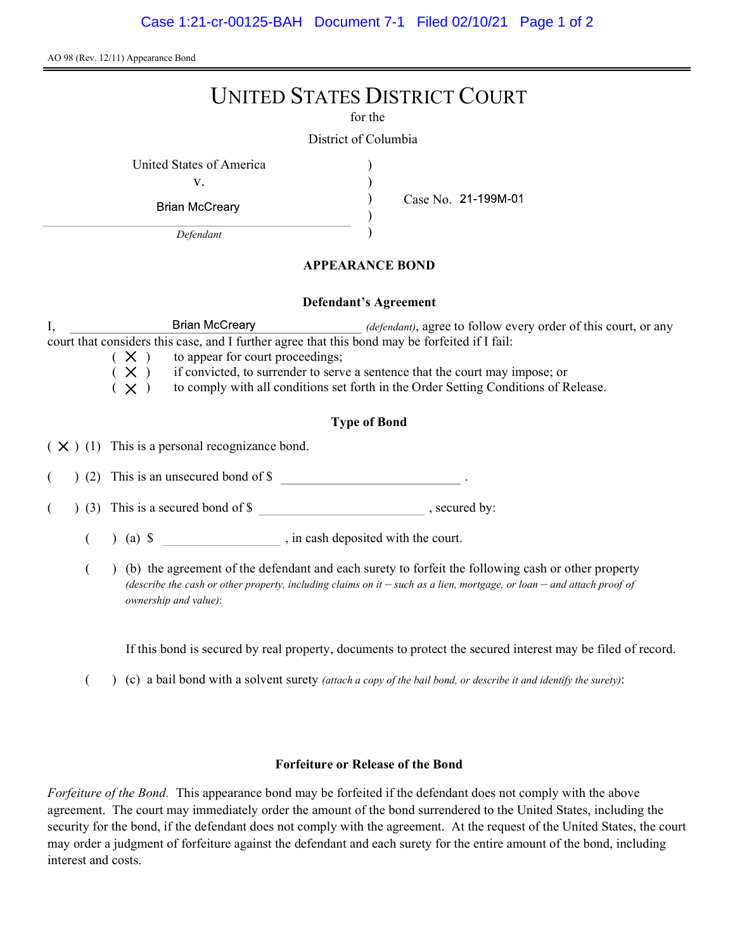AO 98 (Rev. 12/11) Appearance Bond

# UNITED STATES DISTRICT COURT

for the

) ) ) )

District of Columbia

United States of America (1996)

v.

**Brian McCreary** 

Defendant

Case No.

# APPEARANCE BOND

## Defendant's Agreement

I, Brian McCreary *(defendant)*, agree to follow every order of this court, or any court that considers this case, and I further agree that this bond may be forfeited if I fail:

 $(X)$  to appear for court proceedings;<br> $(X)$  if convicted, to surrender to serv

 $(X)$  if convicted, to surrender to serve a sentence that the court may impose; or  $(X)$  to comply with all conditions set forth in the Order Setting Conditions of R

to comply with all conditions set forth in the Order Setting Conditions of Release.

# Type of Bond

 $(X)$  (1) This is a personal recognizance bond.

(2) This is an unsecured bond of \$

 $($   $)$  (3) This is a secured bond of \$, secured by:

 $($  ) (a)  $\$  , in cash deposited with the court.

( ) (b) the agreement of the defendant and each surety to forfeit the following cash or other property (describe the cash or other property, including claims on it  $-$  such as a lien, mortgage, or loan  $-$  and attach proof of ownership and value):

If this bond is secured by real property, documents to protect the secured interest may be filed of record.

( $\)$  (c) a bail bond with a solvent surety *(attach a copy of the bail bond, or describe it and identify the surety)*:

# Forfeiture or Release of the Bond

Forfeiture of the Bond. This appearance bond may be forfeited if the defendant does not comply with the above agreement. The court may immediately order the amount of the bond surrendered to the United States, including the security for the bond, if the defendant does not comply with the agreement. At the request of the United States, the court may order a judgment of forfeiture against the defendant and each surety for the entire amount of the bond, including interest and costs.